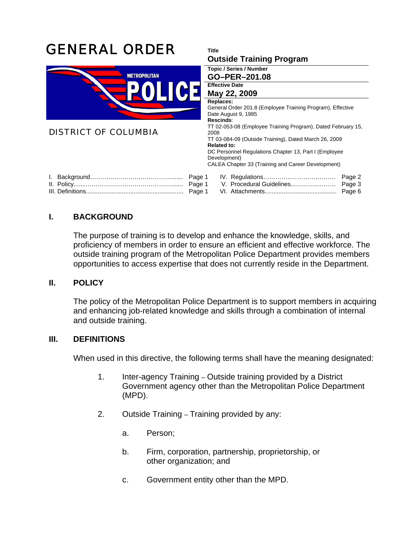

## **I. BACKGROUND**

The purpose of training is to develop and enhance the knowledge, skills, and proficiency of members in order to ensure an efficient and effective workforce. The outside training program of the Metropolitan Police Department provides members opportunities to access expertise that does not currently reside in the Department.

## **II. POLICY**

The policy of the Metropolitan Police Department is to support members in acquiring and enhancing job-related knowledge and skills through a combination of internal and outside training.

## **III. DEFINITIONS**

When used in this directive, the following terms shall have the meaning designated:

- 1. Inter-agency Training Outside training provided by a District Government agency other than the Metropolitan Police Department (MPD).
- 2. Outside Training Training provided by any:
	- a. Person;
	- b. Firm, corporation, partnership, proprietorship, or other organization; and
	- c. Government entity other than the MPD.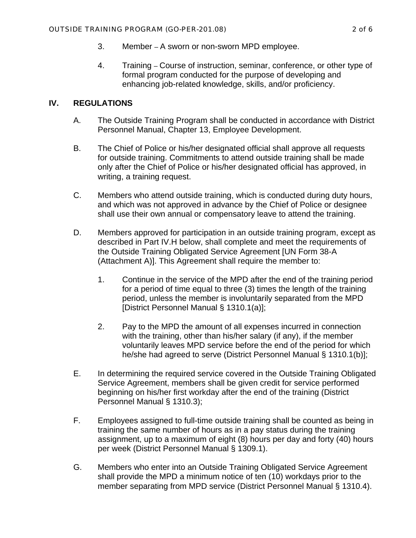- 3. Member A sworn or non-sworn MPD employee.
- 4. Training Course of instruction, seminar, conference, or other type of formal program conducted for the purpose of developing and enhancing job-related knowledge, skills, and/or proficiency.

## **IV. REGULATIONS**

- A. The Outside Training Program shall be conducted in accordance with District Personnel Manual, Chapter 13, Employee Development.
- B. The Chief of Police or his/her designated official shall approve all requests for outside training. Commitments to attend outside training shall be made only after the Chief of Police or his/her designated official has approved, in writing, a training request.
- C. Members who attend outside training, which is conducted during duty hours, and which was not approved in advance by the Chief of Police or designee shall use their own annual or compensatory leave to attend the training.
- D. Members approved for participation in an outside training program, except as described in Part IV.H below, shall complete and meet the requirements of the Outside Training Obligated Service Agreement [UN Form 38-A (Attachment A)]. This Agreement shall require the member to:
	- 1. Continue in the service of the MPD after the end of the training period for a period of time equal to three (3) times the length of the training period, unless the member is involuntarily separated from the MPD [District Personnel Manual § 1310.1(a)];
	- 2. Pay to the MPD the amount of all expenses incurred in connection with the training, other than his/her salary (if any), if the member voluntarily leaves MPD service before the end of the period for which he/she had agreed to serve (District Personnel Manual § 1310.1(b)];
- E. In determining the required service covered in the Outside Training Obligated Service Agreement, members shall be given credit for service performed beginning on his/her first workday after the end of the training (District Personnel Manual § 1310.3);
- F. Employees assigned to full-time outside training shall be counted as being in training the same number of hours as in a pay status during the training assignment, up to a maximum of eight (8) hours per day and forty (40) hours per week (District Personnel Manual § 1309.1).
- G. Members who enter into an Outside Training Obligated Service Agreement shall provide the MPD a minimum notice of ten (10) workdays prior to the member separating from MPD service (District Personnel Manual § 1310.4).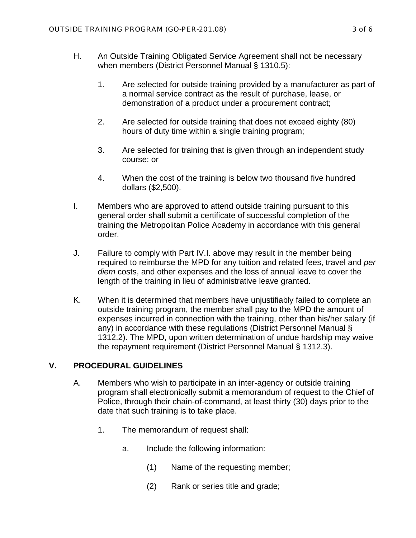- H. An Outside Training Obligated Service Agreement shall not be necessary when members (District Personnel Manual § 1310.5):
	- 1. Are selected for outside training provided by a manufacturer as part of a normal service contract as the result of purchase, lease, or demonstration of a product under a procurement contract;
	- 2. Are selected for outside training that does not exceed eighty (80) hours of duty time within a single training program;
	- 3. Are selected for training that is given through an independent study course; or
	- 4. When the cost of the training is below two thousand five hundred dollars (\$2,500).
- I. Members who are approved to attend outside training pursuant to this general order shall submit a certificate of successful completion of the training the Metropolitan Police Academy in accordance with this general order.
- J. Failure to comply with Part IV.I. above may result in the member being required to reimburse the MPD for any tuition and related fees, travel and *per diem* costs, and other expenses and the loss of annual leave to cover the length of the training in lieu of administrative leave granted.
- K. When it is determined that members have unjustifiably failed to complete an outside training program, the member shall pay to the MPD the amount of expenses incurred in connection with the training, other than his/her salary (if any) in accordance with these regulations (District Personnel Manual § 1312.2). The MPD, upon written determination of undue hardship may waive the repayment requirement (District Personnel Manual § 1312.3).

## **V. PROCEDURAL GUIDELINES**

- A. Members who wish to participate in an inter-agency or outside training program shall electronically submit a memorandum of request to the Chief of Police, through their chain-of-command, at least thirty (30) days prior to the date that such training is to take place.
	- 1. The memorandum of request shall:
		- a. Include the following information:
			- (1) Name of the requesting member;
			- (2) Rank or series title and grade;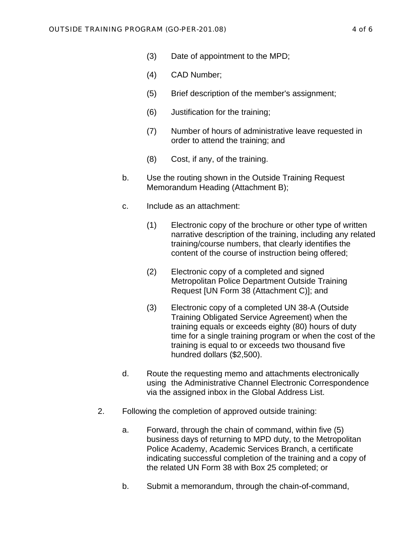- (3) Date of appointment to the MPD;
- (4) CAD Number;
- (5) Brief description of the member's assignment;
- (6) Justification for the training;
- (7) Number of hours of administrative leave requested in order to attend the training; and
- (8) Cost, if any, of the training.
- b. Use the routing shown in the Outside Training Request Memorandum Heading (Attachment B);
- c. Include as an attachment:
	- (1) Electronic copy of the brochure or other type of written narrative description of the training, including any related training/course numbers, that clearly identifies the content of the course of instruction being offered;
	- (2) Electronic copy of a completed and signed Metropolitan Police Department Outside Training Request [UN Form 38 (Attachment C)]; and
	- (3) Electronic copy of a completed UN 38-A (Outside Training Obligated Service Agreement) when the training equals or exceeds eighty (80) hours of duty time for a single training program or when the cost of the training is equal to or exceeds two thousand five hundred dollars (\$2,500).
- d. Route the requesting memo and attachments electronically using the Administrative Channel Electronic Correspondence via the assigned inbox in the Global Address List.
- 2. Following the completion of approved outside training:
	- a. Forward, through the chain of command, within five (5) business days of returning to MPD duty, to the Metropolitan Police Academy, Academic Services Branch, a certificate indicating successful completion of the training and a copy of the related UN Form 38 with Box 25 completed; or
	- b. Submit a memorandum, through the chain-of-command,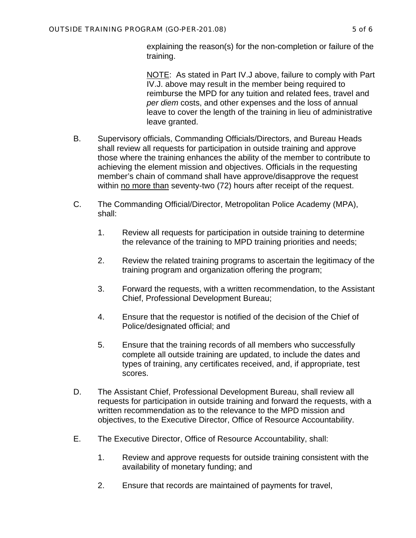explaining the reason(s) for the non-completion or failure of the training.

NOTE: As stated in Part IV.J above, failure to comply with Part IV.J. above may result in the member being required to reimburse the MPD for any tuition and related fees, travel and *per diem* costs, and other expenses and the loss of annual leave to cover the length of the training in lieu of administrative leave granted.

- B. Supervisory officials, Commanding Officials/Directors, and Bureau Heads shall review all requests for participation in outside training and approve those where the training enhances the ability of the member to contribute to achieving the element mission and objectives. Officials in the requesting member's chain of command shall have approve/disapprove the request within no more than seventy-two (72) hours after receipt of the request.
- C. The Commanding Official/Director, Metropolitan Police Academy (MPA), shall:
	- 1. Review all requests for participation in outside training to determine the relevance of the training to MPD training priorities and needs;
	- 2. Review the related training programs to ascertain the legitimacy of the training program and organization offering the program;
	- 3. Forward the requests, with a written recommendation, to the Assistant Chief, Professional Development Bureau;
	- 4. Ensure that the requestor is notified of the decision of the Chief of Police/designated official; and
	- 5. Ensure that the training records of all members who successfully complete all outside training are updated, to include the dates and types of training, any certificates received, and, if appropriate, test scores.
- D. The Assistant Chief, Professional Development Bureau, shall review all requests for participation in outside training and forward the requests, with a written recommendation as to the relevance to the MPD mission and objectives, to the Executive Director, Office of Resource Accountability.
- E. The Executive Director, Office of Resource Accountability, shall:
	- 1. Review and approve requests for outside training consistent with the availability of monetary funding; and
	- 2. Ensure that records are maintained of payments for travel,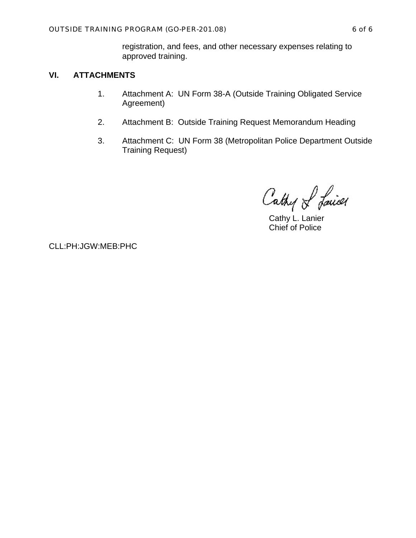registration, and fees, and other necessary expenses relating to approved training.

## **VI. ATTACHMENTS**

- 1. Attachment A: UN Form 38-A (Outside Training Obligated Service Agreement)
- 2. Attachment B: Outside Training Request Memorandum Heading
- 3. Attachment C: UN Form 38 (Metropolitan Police Department Outside Training Request)

Cathy of Laires

 Cathy L. Lanier Chief of Police

CLL:PH:JGW:MEB:PHC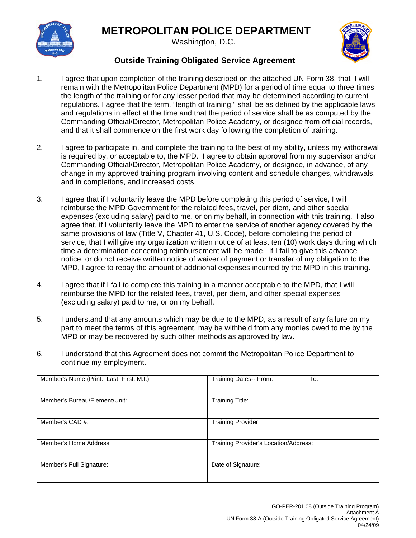# **METROPOLITAN POLICE DEPARTMENT**



Washington, D.C.



## **Outside Training Obligated Service Agreement**

- 1. I agree that upon completion of the training described on the attached UN Form 38, that I will remain with the Metropolitan Police Department (MPD) for a period of time equal to three times the length of the training or for any lesser period that may be determined according to current regulations. I agree that the term, "length of training," shall be as defined by the applicable laws and regulations in effect at the time and that the period of service shall be as computed by the Commanding Official/Director, Metropolitan Police Academy, or designee from official records, and that it shall commence on the first work day following the completion of training.
- 2. I agree to participate in, and complete the training to the best of my ability, unless my withdrawal is required by, or acceptable to, the MPD. I agree to obtain approval from my supervisor and/or Commanding Official/Director, Metropolitan Police Academy, or designee, in advance, of any change in my approved training program involving content and schedule changes, withdrawals, and in completions, and increased costs.
- 3. I agree that if I voluntarily leave the MPD before completing this period of service, I will reimburse the MPD Government for the related fees, travel, per diem, and other special expenses (excluding salary) paid to me, or on my behalf, in connection with this training. I also agree that, if I voluntarily leave the MPD to enter the service of another agency covered by the same provisions of law (Title V, Chapter 41, U.S. Code), before completing the period of service, that I will give my organization written notice of at least ten (10) work days during which time a determination concerning reimbursement will be made. If I fail to give this advance notice, or do not receive written notice of waiver of payment or transfer of my obligation to the MPD, I agree to repay the amount of additional expenses incurred by the MPD in this training.
- 4. I agree that if I fail to complete this training in a manner acceptable to the MPD, that I will reimburse the MPD for the related fees, travel, per diem, and other special expenses (excluding salary) paid to me, or on my behalf.
- 5. I understand that any amounts which may be due to the MPD, as a result of any failure on my part to meet the terms of this agreement, may be withheld from any monies owed to me by the MPD or may be recovered by such other methods as approved by law.
- 6. I understand that this Agreement does not commit the Metropolitan Police Department to continue my employment.

| Member's Name (Print: Last, First, M.I.): | To:<br>Training Dates-- From:         |  |  |
|-------------------------------------------|---------------------------------------|--|--|
| Member's Bureau/Element/Unit:             | <b>Training Title:</b>                |  |  |
| Member's CAD #:                           | Training Provider:                    |  |  |
| Member's Home Address:                    | Training Provider's Location/Address: |  |  |
| Member's Full Signature:                  | Date of Signature:                    |  |  |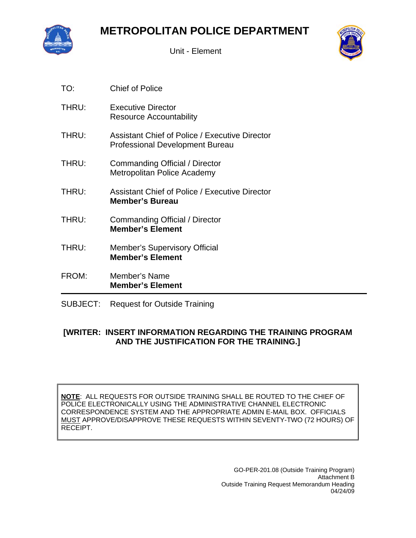

Unit - Element



| TO:   | <b>Chief of Police</b>                                                                          |
|-------|-------------------------------------------------------------------------------------------------|
| THRU: | <b>Executive Director</b><br>Resource Accountability                                            |
| THRU: | <b>Assistant Chief of Police / Executive Director</b><br><b>Professional Development Bureau</b> |
| THRU: | Commanding Official / Director<br>Metropolitan Police Academy                                   |
| THRU: | <b>Assistant Chief of Police / Executive Director</b><br><b>Member's Bureau</b>                 |
| THRU: | Commanding Official / Director<br><b>Member's Element</b>                                       |
| THRU: | <b>Member's Supervisory Official</b><br><b>Member's Element</b>                                 |
| FROM: | Member's Name<br><b>Member's Element</b>                                                        |

SUBJECT: Request for Outside Training

## **[WRITER: INSERT INFORMATION REGARDING THE TRAINING PROGRAM AND THE JUSTIFICATION FOR THE TRAINING.]**

**NOTE**: ALL REQUESTS FOR OUTSIDE TRAINING SHALL BE ROUTED TO THE CHIEF OF POLICE ELECTRONICALLY USING THE ADMINISTRATIVE CHANNEL ELECTRONIC CORRESPONDENCE SYSTEM AND THE APPROPRIATE ADMIN E-MAIL BOX. OFFICIALS MUST APPROVE/DISAPPROVE THESE REQUESTS WITHIN SEVENTY-TWO (72 HOURS) OF RECEIPT.

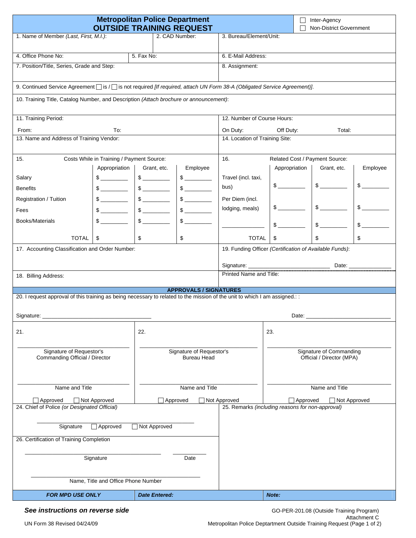| <b>Metropolitan Police Department</b><br><b>OUTSIDE TRAINING REQUEST</b>                                                 |                                                            |                                                                                                                                                                                                                                                                                                                                                     |                               | Inter-Agency<br>$\Box$<br>Non-District Government       |                                                                                                                           |                                               |               |  |
|--------------------------------------------------------------------------------------------------------------------------|------------------------------------------------------------|-----------------------------------------------------------------------------------------------------------------------------------------------------------------------------------------------------------------------------------------------------------------------------------------------------------------------------------------------------|-------------------------------|---------------------------------------------------------|---------------------------------------------------------------------------------------------------------------------------|-----------------------------------------------|---------------|--|
| 1. Name of Member (Last, First, M.I.):<br>2. CAD Number:                                                                 |                                                            |                                                                                                                                                                                                                                                                                                                                                     | 3. Bureau/Element/Unit:       |                                                         |                                                                                                                           |                                               |               |  |
|                                                                                                                          |                                                            |                                                                                                                                                                                                                                                                                                                                                     |                               |                                                         |                                                                                                                           |                                               |               |  |
| 4. Office Phone No:                                                                                                      |                                                            | 5. Fax No:                                                                                                                                                                                                                                                                                                                                          |                               | 6. E-Mail Address:<br>8. Assignment:                    |                                                                                                                           |                                               |               |  |
| 7. Position/Title, Series, Grade and Step:                                                                               |                                                            |                                                                                                                                                                                                                                                                                                                                                     |                               |                                                         |                                                                                                                           |                                               |               |  |
|                                                                                                                          |                                                            |                                                                                                                                                                                                                                                                                                                                                     |                               |                                                         | 9. Continued Service Agreement [ is / [ is not required [If required, attach UN Form 38-A (Obligated Service Agreement)]. |                                               |               |  |
| 10. Training Title, Catalog Number, and Description (Attach brochure or announcement):                                   |                                                            |                                                                                                                                                                                                                                                                                                                                                     |                               |                                                         |                                                                                                                           |                                               |               |  |
| 11. Training Period:                                                                                                     |                                                            |                                                                                                                                                                                                                                                                                                                                                     |                               | 12. Number of Course Hours:                             |                                                                                                                           |                                               |               |  |
| From:                                                                                                                    | To:                                                        |                                                                                                                                                                                                                                                                                                                                                     |                               | On Duty:<br>Off Duty:<br>Total:                         |                                                                                                                           |                                               |               |  |
| 13. Name and Address of Training Vendor:                                                                                 |                                                            |                                                                                                                                                                                                                                                                                                                                                     |                               | 14. Location of Training Site:                          |                                                                                                                           |                                               |               |  |
|                                                                                                                          |                                                            |                                                                                                                                                                                                                                                                                                                                                     |                               |                                                         |                                                                                                                           |                                               |               |  |
| 15.                                                                                                                      | Costs While in Training / Payment Source:<br>Appropriation | Grant, etc.                                                                                                                                                                                                                                                                                                                                         | Employee                      | 16.                                                     | Appropriation                                                                                                             | Related Cost / Payment Source:<br>Grant, etc. | Employee      |  |
| Salary                                                                                                                   |                                                            |                                                                                                                                                                                                                                                                                                                                                     |                               | Travel (incl. taxi,                                     |                                                                                                                           |                                               |               |  |
| <b>Benefits</b>                                                                                                          |                                                            |                                                                                                                                                                                                                                                                                                                                                     |                               | bus)                                                    | $\frac{1}{2}$                                                                                                             |                                               | $\mathbb{S}$  |  |
| Registration / Tuition                                                                                                   |                                                            | $$\overbrace{\hspace{2.5cm}}$                                                                                                                                                                                                                                                                                                                       |                               | Per Diem (incl.                                         |                                                                                                                           |                                               |               |  |
| Fees                                                                                                                     |                                                            | $\frac{1}{2}$                                                                                                                                                                                                                                                                                                                                       |                               | lodging, meals)                                         |                                                                                                                           |                                               | $$$ $$$       |  |
| Books/Materials                                                                                                          |                                                            | $\begin{picture}(20,20) \put(0,0){\line(1,0){10}} \put(15,0){\line(1,0){10}} \put(15,0){\line(1,0){10}} \put(15,0){\line(1,0){10}} \put(15,0){\line(1,0){10}} \put(15,0){\line(1,0){10}} \put(15,0){\line(1,0){10}} \put(15,0){\line(1,0){10}} \put(15,0){\line(1,0){10}} \put(15,0){\line(1,0){10}} \put(15,0){\line(1,0){10}} \put(15,0){\line(1$ | $\frac{1}{2}$                 |                                                         |                                                                                                                           |                                               |               |  |
|                                                                                                                          |                                                            |                                                                                                                                                                                                                                                                                                                                                     |                               |                                                         | $\mathbb{S}$                                                                                                              | $\frac{1}{2}$                                 | $\frac{1}{2}$ |  |
| <b>TOTAL</b>                                                                                                             | \$                                                         | \$                                                                                                                                                                                                                                                                                                                                                  | \$                            | <b>TOTAL</b>                                            | \$                                                                                                                        | \$                                            | \$            |  |
| 17. Accounting Classification and Order Number:                                                                          |                                                            |                                                                                                                                                                                                                                                                                                                                                     |                               | 19. Funding Officer (Certification of Available Funds): |                                                                                                                           |                                               |               |  |
|                                                                                                                          |                                                            |                                                                                                                                                                                                                                                                                                                                                     | Date:                         |                                                         |                                                                                                                           |                                               |               |  |
| 18. Billing Address:                                                                                                     |                                                            |                                                                                                                                                                                                                                                                                                                                                     |                               | Printed Name and Title:                                 |                                                                                                                           |                                               |               |  |
|                                                                                                                          |                                                            |                                                                                                                                                                                                                                                                                                                                                     | <b>APPROVALS / SIGNATURES</b> |                                                         |                                                                                                                           |                                               |               |  |
| 20. I request approval of this training as being necessary to related to the mission of the unit to which I am assigned: |                                                            |                                                                                                                                                                                                                                                                                                                                                     |                               |                                                         |                                                                                                                           |                                               |               |  |
|                                                                                                                          |                                                            |                                                                                                                                                                                                                                                                                                                                                     |                               |                                                         |                                                                                                                           |                                               |               |  |
| Signature:<br>Date:                                                                                                      |                                                            |                                                                                                                                                                                                                                                                                                                                                     |                               |                                                         |                                                                                                                           |                                               |               |  |
| 21.                                                                                                                      | 22.                                                        |                                                                                                                                                                                                                                                                                                                                                     |                               | 23.                                                     |                                                                                                                           |                                               |               |  |
|                                                                                                                          |                                                            |                                                                                                                                                                                                                                                                                                                                                     |                               |                                                         |                                                                                                                           |                                               |               |  |
| Signature of Requestor's<br>Signature of Requestor's<br>Commanding Official / Director<br><b>Bureau Head</b>             |                                                            | Signature of Commanding<br>Official / Director (MPA)                                                                                                                                                                                                                                                                                                |                               |                                                         |                                                                                                                           |                                               |               |  |
|                                                                                                                          |                                                            |                                                                                                                                                                                                                                                                                                                                                     |                               |                                                         |                                                                                                                           |                                               |               |  |
|                                                                                                                          |                                                            |                                                                                                                                                                                                                                                                                                                                                     |                               |                                                         |                                                                                                                           |                                               |               |  |
| Name and Title<br>Name and Title                                                                                         |                                                            | Name and Title                                                                                                                                                                                                                                                                                                                                      |                               |                                                         |                                                                                                                           |                                               |               |  |
| Approved<br>Not Approved<br>Approved                                                                                     |                                                            | Not Approved<br>Approved<br>Not Approved                                                                                                                                                                                                                                                                                                            |                               |                                                         |                                                                                                                           |                                               |               |  |
| 24. Chief of Police (or Designated Official)                                                                             |                                                            |                                                                                                                                                                                                                                                                                                                                                     |                               | 25. Remarks (including reasons for non-approval)        |                                                                                                                           |                                               |               |  |
| Not Approved<br>Signature<br>$\Box$ Approved                                                                             |                                                            |                                                                                                                                                                                                                                                                                                                                                     |                               |                                                         |                                                                                                                           |                                               |               |  |
| 26. Certification of Training Completion                                                                                 |                                                            |                                                                                                                                                                                                                                                                                                                                                     |                               |                                                         |                                                                                                                           |                                               |               |  |
|                                                                                                                          |                                                            |                                                                                                                                                                                                                                                                                                                                                     |                               |                                                         |                                                                                                                           |                                               |               |  |
| Signature<br>Date                                                                                                        |                                                            |                                                                                                                                                                                                                                                                                                                                                     |                               |                                                         |                                                                                                                           |                                               |               |  |
|                                                                                                                          |                                                            |                                                                                                                                                                                                                                                                                                                                                     |                               |                                                         |                                                                                                                           |                                               |               |  |
| Name, Title and Office Phone Number                                                                                      |                                                            |                                                                                                                                                                                                                                                                                                                                                     |                               |                                                         |                                                                                                                           |                                               |               |  |
| <b>FOR MPD USE ONLY</b>                                                                                                  |                                                            | <b>Date Entered:</b>                                                                                                                                                                                                                                                                                                                                |                               |                                                         | Note:                                                                                                                     |                                               |               |  |